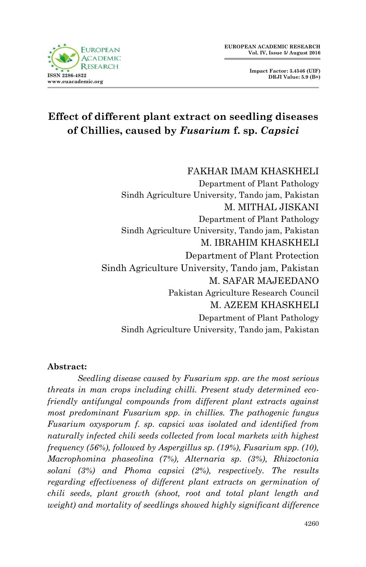**Impact Factor: 3.4546 (UIF) DRJI Value: 5.9 (B+)**



# **Effect of different plant extract on seedling diseases of Chillies, caused by** *Fusarium* **f. sp.** *Capsici*

FAKHAR IMAM KHASKHELI Department of Plant Pathology Sindh Agriculture University, Tando jam, Pakistan M. MITHAL JISKANI Department of Plant Pathology Sindh Agriculture University, Tando jam, Pakistan M. IBRAHIM KHASKHELI Department of Plant Protection Sindh Agriculture University, Tando jam, Pakistan M. SAFAR MAJEEDANO Pakistan Agriculture Research Council M. AZEEM KHASKHELI Department of Plant Pathology Sindh Agriculture University, Tando jam, Pakistan

#### **Abstract:**

*Seedling disease caused by Fusarium spp. are the most serious threats in man crops including chilli. Present study determined ecofriendly antifungal compounds from different plant extracts against most predominant Fusarium spp. in chillies. The pathogenic fungus Fusarium oxysporum f. sp. capsici was isolated and identified from naturally infected chili seeds collected from local markets with highest frequency (56%), followed by Aspergillus sp. (19%), Fusarium spp. (10), Macrophomina phaseolina (7%), Alternaria sp. (3%), Rhizoctonia solani (3%) and Phoma capsici (2%), respectively. The results regarding effectiveness of different plant extracts on germination of chili seeds, plant growth (shoot, root and total plant length and weight) and mortality of seedlings showed highly significant difference*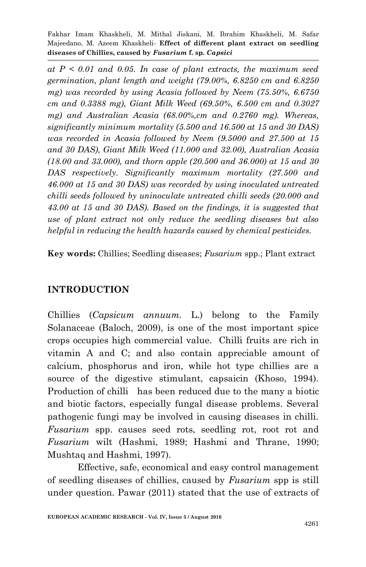*at P < 0.01 and 0.05. In case of plant extracts, the maximum seed germination, plant length and weight (79.00%, 6.8250 cm and 6.8250 mg) was recorded by using Acasia followed by Neem (75.50%, 6.6750 cm and 0.3388 mg), Giant Milk Weed (69.50%, 6.500 cm and 0.3027 mg) and Australian Acasia (68.00%,cm and 0.2760 mg). Whereas, significantly minimum mortality (5.500 and 16.500 at 15 and 30 DAS) was recorded in Acasia followed by Neem (9.5000 and 27.500 at 15 and 30 DAS), Giant Milk Weed (11.000 and 32.00), Australian Acasia (18.00 and 33.000), and thorn apple (20.500 and 36.000) at 15 and 30 DAS respectively. Significantly maximum mortality (27.500 and 46.000 at 15 and 30 DAS) was recorded by using inoculated untreated chilli seeds followed by uninoculate untreated chilli seeds (20.000 and 43.00 at 15 and 30 DAS). Based on the findings, it is suggested that use of plant extract not only reduce the seedling diseases but also helpful in reducing the health hazards caused by chemical pesticides.* 

**Key words:** Chillies; Seedling diseases; *Fusarium* spp.; Plant extract

### **INTRODUCTION**

Chillies (*Capsicum annuum.* L.) belong to the Family Solanaceae (Baloch, 2009), is one of the most important spice crops occupies high commercial value. Chilli fruits are rich in vitamin A and C; and also contain appreciable amount of calcium, phosphorus and iron, while hot type chillies are a source of the digestive stimulant, capsaicin (Khoso, 1994). Production of chilli has been reduced due to the many a biotic and biotic factors, especially fungal disease problems. Several pathogenic fungi may be involved in causing diseases in chilli. *Fusarium* spp. causes seed rots, seedling rot, root rot and *Fusarium* wilt (Hashmi, 1989; Hashmi and Thrane, 1990; Mushtaq and Hashmi, 1997).

Effective, safe, economical and easy control management of seedling diseases of chillies, caused by *Fusarium* spp is still under question. Pawar (2011) stated that the use of extracts of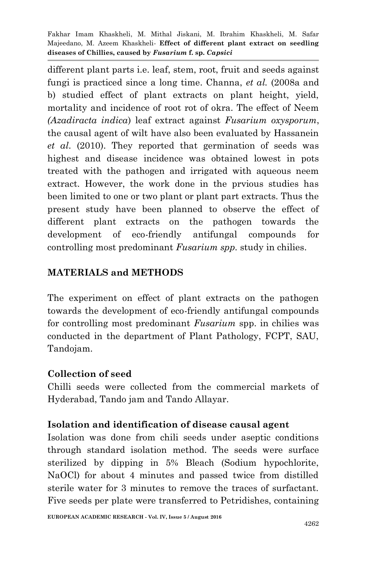different plant parts i.e. leaf, stem, root, fruit and seeds against fungi is practiced since a long time. Channa, *et al.* (2008a and b) studied effect of plant extracts on plant height, yield, mortality and incidence of root rot of okra. The effect of Neem *(Azadiracta indica*) leaf extract against *Fusarium oxysporum*, the causal agent of wilt have also been evaluated by Hassanein *et al*. (2010). They reported that germination of seeds was highest and disease incidence was obtained lowest in pots treated with the pathogen and irrigated with aqueous neem extract. However, the work done in the prvious studies has been limited to one or two plant or plant part extracts. Thus the present study have been planned to observe the effect of different plant extracts on the pathogen towards the development of eco-friendly antifungal compounds for controlling most predominant *Fusarium spp.* study in chilies.

## **MATERIALS and METHODS**

The experiment on effect of plant extracts on the pathogen towards the development of eco-friendly antifungal compounds for controlling most predominant *Fusarium* spp. in chilies was conducted in the department of Plant Pathology, FCPT, SAU, Tandojam.

#### **Collection of seed**

Chilli seeds were collected from the commercial markets of Hyderabad, Tando jam and Tando Allayar.

#### **Isolation and identification of disease causal agent**

Isolation was done from chili seeds under aseptic conditions through standard isolation method. The seeds were surface sterilized by dipping in 5% Bleach (Sodium hypochlorite, NaOCl) for about 4 minutes and passed twice from distilled sterile water for 3 minutes to remove the traces of surfactant. Five seeds per plate were transferred to Petridishes, containing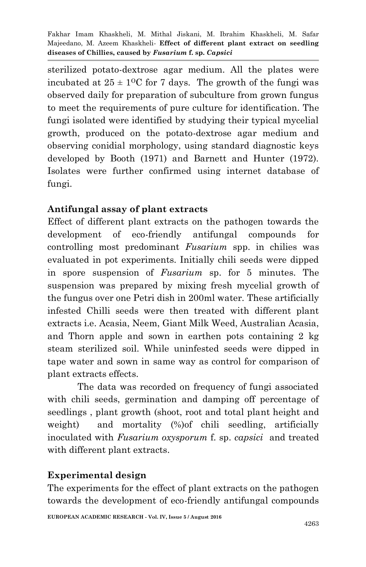sterilized potato-dextrose agar medium. All the plates were incubated at  $25 \pm 10$ C for 7 days. The growth of the fungi was observed daily for preparation of subculture from grown fungus to meet the requirements of pure culture for identification. The fungi isolated were identified by studying their typical mycelial growth, produced on the potato-dextrose agar medium and observing conidial morphology, using standard diagnostic keys developed by Booth (1971) and Barnett and Hunter (1972). Isolates were further confirmed using internet database of fungi.

### **Antifungal assay of plant extracts**

Effect of different plant extracts on the pathogen towards the development of eco-friendly antifungal compounds for controlling most predominant *Fusarium* spp. in chilies was evaluated in pot experiments. Initially chili seeds were dipped in spore suspension of *Fusarium* sp. for 5 minutes. The suspension was prepared by mixing fresh mycelial growth of the fungus over one Petri dish in 200ml water. These artificially infested Chilli seeds were then treated with different plant extracts i.e. Acasia, Neem, Giant Milk Weed, Australian Acasia, and Thorn apple and sown in earthen pots containing 2 kg steam sterilized soil. While uninfested seeds were dipped in tape water and sown in same way as control for comparison of plant extracts effects.

The data was recorded on frequency of fungi associated with chili seeds, germination and damping off percentage of seedlings , plant growth (shoot, root and total plant height and weight) and mortality (%)of chili seedling, artificially inoculated with *Fusarium oxysporum* f. sp. *capsici* and treated with different plant extracts.

### **Experimental design**

The experiments for the effect of plant extracts on the pathogen towards the development of eco-friendly antifungal compounds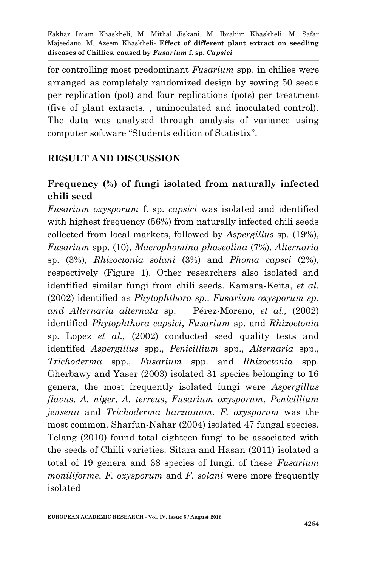for controlling most predominant *Fusarium* spp. in chilies were arranged as completely randomized design by sowing 50 seeds per replication (pot) and four replications (pots) per treatment (five of plant extracts, , uninoculated and inoculated control). The data was analysed through analysis of variance using computer software "Students edition of Statistix".

### **RESULT AND DISCUSSION**

## **Frequency (%) of fungi isolated from naturally infected chili seed**

*Fusarium oxysporum* f. sp. *capsici* was isolated and identified with highest frequency (56%) from naturally infected chili seeds collected from local markets, followed by *Aspergillus* sp. (19%), *Fusarium* spp. (10), *Macrophomina phaseolina* (7%), *Alternaria* sp. (3%), *Rhizoctonia solani* (3%) and *Phoma capsci* (2%), respectively (Figure 1). Other researchers also isolated and identified similar fungi from chili seeds. Kamara-Keita, *et al*. (2002) identified as *Phytophthora sp., Fusarium oxysporum sp. and Alternaria alternata* sp. Pérez-Moreno, *et al.,* (2002) identified *Phytophthora capsici*, *Fusarium* sp. and *Rhizoctonia* sp. Lopez *et al.,* (2002) conducted seed quality tests and identifed *Aspergillus* spp., *Penicillium* spp., *Alternaria* spp., *Trichoderma* spp., *Fusarium* spp. and *Rhizoctonia* spp. Gherbawy and Yaser (2003) isolated 31 species belonging to 16 genera, the most frequently isolated fungi were *Aspergillus flavus*, *A. niger*, *A. terreus*, *Fusarium oxysporum*, *Penicillium jensenii* and *Trichoderma harzianum*. *F. oxysporum* was the most common. Sharfun-Nahar (2004) isolated 47 fungal species. Telang (2010) found total eighteen fungi to be associated with the seeds of Chilli varieties. Sitara and Hasan (2011) isolated a total of 19 genera and 38 species of fungi, of these *Fusarium moniliforme*, *F. oxysporum* and *F. solani* were more frequently isolated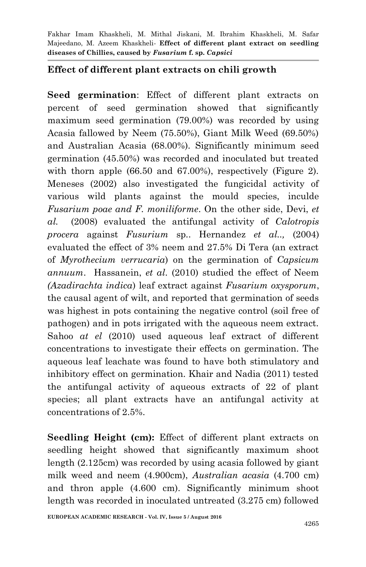#### **Effect of different plant extracts on chili growth**

**Seed germination**: Effect of different plant extracts on percent of seed germination showed that significantly maximum seed germination (79.00%) was recorded by using Acasia fallowed by Neem (75.50%), Giant Milk Weed (69.50%) and Australian Acasia (68.00%). Significantly minimum seed germination (45.50%) was recorded and inoculated but treated with thorn apple (66.50 and 67.00%), respectively (Figure 2). Meneses (2002) also investigated the fungicidal activity of various wild plants against the mould species, inculde *Fusarium poae and F. moniliforme*. On the other side, Devi, *et al.* (2008) evaluated the antifungal activity of *Calotropis procera* against *Fusurium* sp*.*. Hernandez *et al..,* (2004) evaluated the effect of 3% neem and 27.5% Di Tera (an extract of *Myrothecium verrucaria*) on the germination of *Capsicum annuum*. Hassanein, *et al*. (2010) studied the effect of Neem *(Azadirachta indica*) leaf extract against *Fusarium oxysporum*, the causal agent of wilt, and reported that germination of seeds was highest in pots containing the negative control (soil free of pathogen) and in pots irrigated with the aqueous neem extract. Sahoo *at el* (2010) used aqueous leaf extract of different concentrations to investigate their effects on germination. The aqueous leaf leachate was found to have both stimulatory and inhibitory effect on germination. Khair and Nadia (2011) tested the antifungal activity of aqueous extracts of 22 of plant species; all plant extracts have an antifungal activity at concentrations of 2.5%.

**Seedling Height (cm):** Effect of different plant extracts on seedling height showed that significantly maximum shoot length (2.125cm) was recorded by using acasia followed by giant milk weed and neem (4.900cm), *Australian acasia* (4.700 cm) and thron apple (4.600 cm). Significantly minimum shoot length was recorded in inoculated untreated (3.275 cm) followed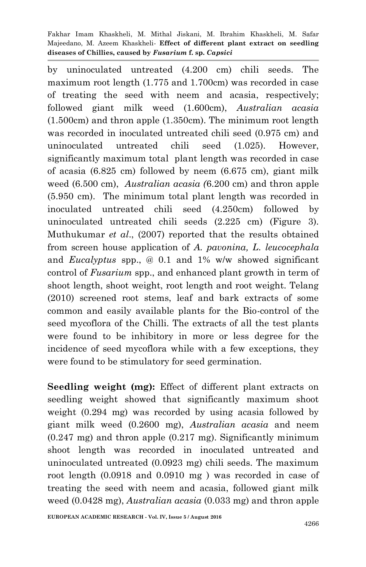by uninoculated untreated (4.200 cm) chili seeds. The maximum root length (1.775 and 1.700cm) was recorded in case of treating the seed with neem and acasia, respectively; followed giant milk weed (1.600cm), *Australian acasia*  (1.500cm) and thron apple (1.350cm). The minimum root length was recorded in inoculated untreated chili seed (0.975 cm) and uninoculated untreated chili seed (1.025). However, significantly maximum total plant length was recorded in case of acasia (6.825 cm) followed by neem (6.675 cm), giant milk weed (6.500 cm), *Australian acasia (*6.200 cm) and thron apple (5.950 cm). The minimum total plant length was recorded in inoculated untreated chili seed (4.250cm) followed by uninoculated untreated chili seeds (2.225 cm) (Figure 3). Muthukumar *et al*., (2007) reported that the results obtained from screen house application of *A. pavonina, L. leucocephala*  and *Eucalyptus* spp., @ 0.1 and 1% w/w showed significant control of *Fusarium* spp., and enhanced plant growth in term of shoot length, shoot weight, root length and root weight. Telang (2010) screened root stems, leaf and bark extracts of some common and easily available plants for the Bio-control of the seed mycoflora of the Chilli. The extracts of all the test plants were found to be inhibitory in more or less degree for the incidence of seed mycoflora while with a few exceptions, they were found to be stimulatory for seed germination.

**Seedling weight (mg):** Effect of different plant extracts on seedling weight showed that significantly maximum shoot weight (0.294 mg) was recorded by using acasia followed by giant milk weed (0.2600 mg), *Australian acasia* and neem (0.247 mg) and thron apple (0.217 mg). Significantly minimum shoot length was recorded in inoculated untreated and uninoculated untreated (0.0923 mg) chili seeds. The maximum root length (0.0918 and 0.0910 mg ) was recorded in case of treating the seed with neem and acasia, followed giant milk weed (0.0428 mg), *Australian acasia* (0.033 mg) and thron apple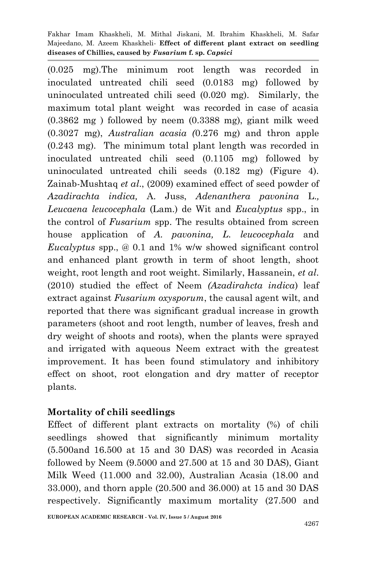(0.025 mg).The minimum root length was recorded in inoculated untreated chili seed (0.0183 mg) followed by uninoculated untreated chili seed (0.020 mg). Similarly, the maximum total plant weight was recorded in case of acasia (0.3862 mg ) followed by neem (0.3388 mg), giant milk weed (0.3027 mg), *Australian acasia (*0.276 mg) and thron apple (0.243 mg). The minimum total plant length was recorded in inoculated untreated chili seed (0.1105 mg) followed by uninoculated untreated chili seeds (0.182 mg) (Figure 4). Zainab-Mushtaq *et al*., (2009) examined effect of seed powder of *Azadirachta indica,* A. Juss, *Adenanthera pavonina* L.*, Leucaena leucocephala* (Lam.) de Wit and *Eucalyptus* spp., in the control of *Fusarium* spp. The results obtained from screen house application of *A. pavonina, L. leucocephala* and *Eucalyptus* spp., @ 0.1 and 1% w/w showed significant control and enhanced plant growth in term of shoot length, shoot weight, root length and root weight. Similarly, Hassanein, *et al*. (2010) studied the effect of Neem *(Azadirahcta indica*) leaf extract against *Fusarium oxysporum*, the causal agent wilt, and reported that there was significant gradual increase in growth parameters (shoot and root length, number of leaves, fresh and dry weight of shoots and roots), when the plants were sprayed and irrigated with aqueous Neem extract with the greatest improvement. It has been found stimulatory and inhibitory effect on shoot, root elongation and dry matter of receptor plants.

#### **Mortality of chili seedlings**

Effect of different plant extracts on mortality (%) of chili seedlings showed that significantly minimum mortality (5.500and 16.500 at 15 and 30 DAS) was recorded in Acasia followed by Neem (9.5000 and 27.500 at 15 and 30 DAS), Giant Milk Weed (11.000 and 32.00), Australian Acasia (18.00 and 33.000), and thorn apple (20.500 and 36.000) at 15 and 30 DAS respectively. Significantly maximum mortality (27.500 and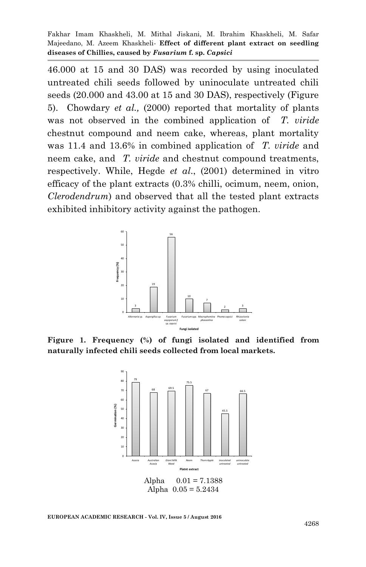46.000 at 15 and 30 DAS) was recorded by using inoculated untreated chili seeds followed by uninoculate untreated chili seeds (20.000 and 43.00 at 15 and 30 DAS), respectively (Figure 5). Chowdary *et al.,* (2000) reported that mortality of plants was not observed in the combined application of *T. viride* chestnut compound and neem cake, whereas, plant mortality was 11.4 and 13.6% in combined application of *T. viride* and neem cake, and *T. viride* and chestnut compound treatments, respectively. While, Hegde *et al*., (2001) determined in vitro efficacy of the plant extracts (0.3% chilli, ocimum, neem, onion, *Clerodendrum*) and observed that all the tested plant extracts exhibited inhibitory activity against the pathogen.



**Figure 1. Frequency (%) of fungi isolated and identified from naturally infected chili seeds collected from local markets.**



```
EUROPEAN ACADEMIC RESEARCH - Vol. IV, Issue 5 / August 2016
```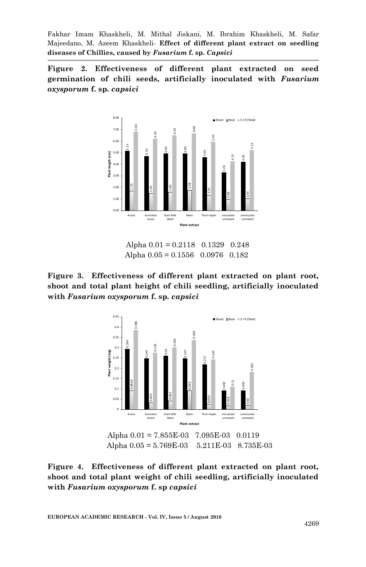**Figure 2. Effectiveness of different plant extracted on seed germination of chili seeds, artificially inoculated with** *Fusarium oxysporum* **f. sp.** *capsici*



 Alpha 0.01 = 0.2118 0.1329 0.248 Alpha 0.05 = 0.1556 0.0976 0.182





Alpha 0.05 = 5.769E-03 5.211E-03 8.735E-03

**Figure 4. Effectiveness of different plant extracted on plant root, shoot and total plant weight of chili seedling, artificially inoculated**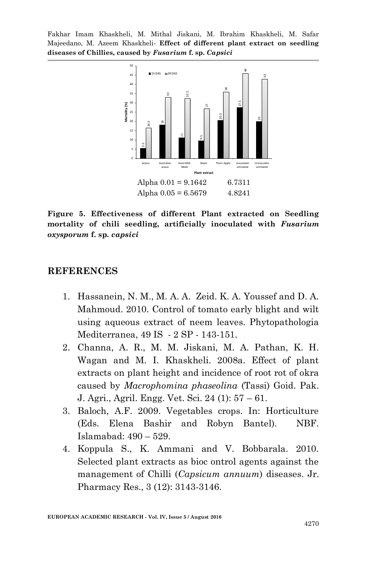

**Figure 5. Effectiveness of different Plant extracted on Seedling mortality of chili seedling, artificially inoculated with** *Fusarium oxysporum* **f. sp.** *capsici*

#### **REFERENCES**

- 1. Hassanein, N. M., M. A. A. Zeid. K. A. Youssef and D. A. Mahmoud. 2010. Control of tomato early blight and wilt using aqueous extract of neem leaves. Phytopathologia Mediterranea, 49 IS - 2 SP - 143-151.
- 2. Channa, A. R., M. M. Jiskani, M. A. Pathan, K. H. Wagan and M. I. Khaskheli. 2008a. Effect of plant extracts on plant height and incidence of root rot of okra caused by *Macrophomina phaseolina* (Tassi) Goid. Pak. J. Agri., Agril. Engg. Vet. Sci. 24 (1): 57 – 61.
- 3. Baloch, A.F. 2009. Vegetables crops. In: Horticulture (Eds. Elena Bashir and Robyn Bantel). NBF. Islamabad: 490 – 529.
- 4. Koppula S., K. Ammani and V. Bobbarala. 2010. Selected plant extracts as bioc ontrol agents against the management of Chilli (*Capsicum annuum*) diseases. Jr.